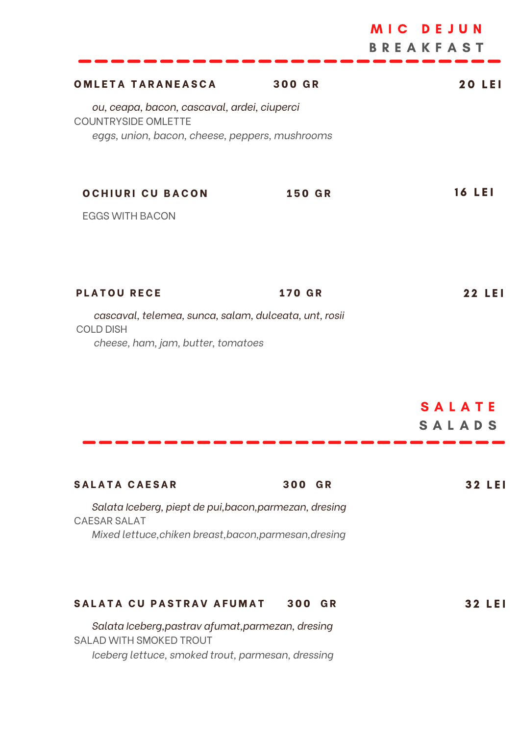|                                                                                                                                         |               | DEJUN<br>MIC <b>M</b><br><b>BREAKFAST</b> |
|-----------------------------------------------------------------------------------------------------------------------------------------|---------------|-------------------------------------------|
| <b>OMLETA TARANEASCA</b>                                                                                                                | <b>300 GR</b> | <b>20 LEI</b>                             |
| ou, ceapa, bacon, cascaval, ardei, ciuperci<br><b>COUNTRYSIDE OMLETTE</b><br>eggs, union, bacon, cheese, peppers, mushrooms             |               |                                           |
| <b>OCHIURI CU BACON</b>                                                                                                                 | <b>150 GR</b> | <b>16 LEI</b>                             |
| <b>EGGS WITH BACON</b>                                                                                                                  |               |                                           |
| <b>PLATOU RECE</b>                                                                                                                      | <b>170 GR</b> | <b>22 LEI</b>                             |
| cascaval, telemea, sunca, salam, dulceata, unt, rosii<br><b>COLD DISH</b><br>cheese, ham, jam, butter, tomatoes                         |               |                                           |
|                                                                                                                                         |               | <b>SALATE</b><br>SALADS                   |
| <b>SALATA CAESAR</b>                                                                                                                    | 300 GR        | 32 LEI                                    |
| Salata Iceberg, piept de pui, bacon, parmezan, dresing<br><b>CAESAR SALAT</b><br>Mixed lettuce, chiken breast, bacon, parmesan, dresing |               |                                           |
| SALATA CU PASTRAV AFUMAT                                                                                                                | 300 GR        | 32 LEI                                    |
| Salata Iceberg, pastrav afumat, parmezan, dresing<br>SALAD WITH SMOKED TROUT                                                            |               |                                           |

*Iceberg lettuce, smoked trout, parmesan, dressing*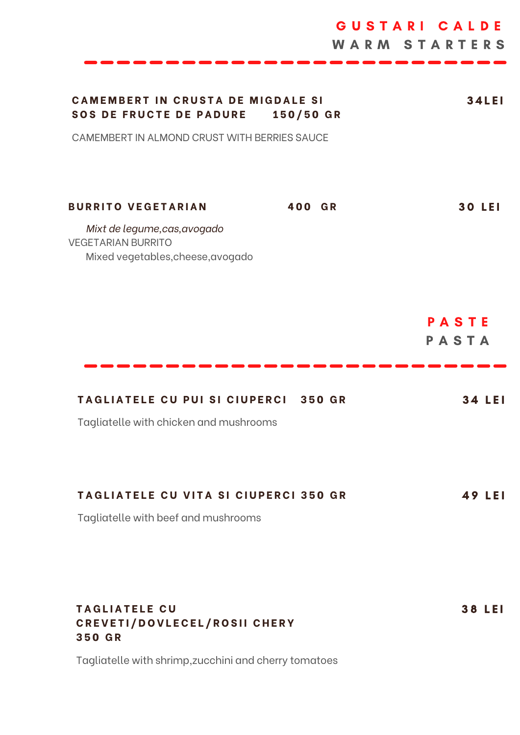|                                                                                                |               | GUSTARI CALDE<br><b>WARM STARTERS</b> |
|------------------------------------------------------------------------------------------------|---------------|---------------------------------------|
| <b>CAMEMBERT IN CRUSTA DE MIGDALE SI</b><br><b>SOS DE FRUCTE DE PADURE</b>                     | 150/50 GR     | <b>34LEI</b>                          |
| CAMEMBERT IN ALMOND CRUST WITH BERRIES SAUCE                                                   |               |                                       |
| <b>BURRITO VEGETARIAN</b>                                                                      | 400 GR        | <b>30 LEI</b>                         |
| Mixt de legume, cas, avogado<br><b>VEGETARIAN BURRITO</b><br>Mixed vegetables, cheese, avogado |               |                                       |
|                                                                                                |               | PASTE<br>PASTA                        |
| <b>TAGLIATELE CU PUI SI CIUPERCI</b>                                                           | <b>350 GR</b> | LEI<br>34                             |
| Tagliatelle with chicken and mushrooms                                                         |               |                                       |
| <b>TAGLIATELE CU VITA SI CIUPERCI 350 GR</b>                                                   |               | 49 LEI                                |
| Tagliatelle with beef and mushrooms                                                            |               |                                       |
| <b>TAGLIATELE CU</b><br>CREVETI/DOVLECEL/ROSII CHERY<br><b>350 GR</b>                          |               | <b>38 LEI</b>                         |

Tagliatelle with shrimp,zucchini and cherry tomatoes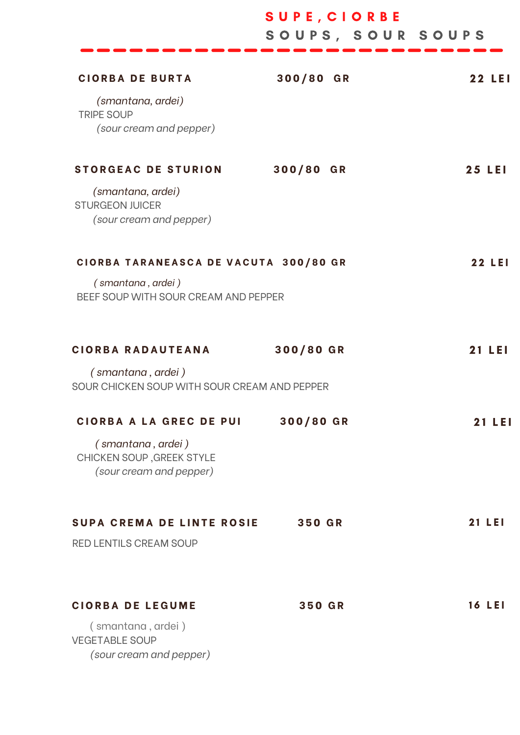|                                                                           | SUPE, CIORBE<br>SOUPS, SOUR SOUPS |               |
|---------------------------------------------------------------------------|-----------------------------------|---------------|
|                                                                           |                                   |               |
| <b>CIORBA DE BURTA</b>                                                    | 300/80 GR                         | <b>22 LEI</b> |
| (smantana, ardei)<br><b>TRIPE SOUP</b>                                    |                                   |               |
| (sour cream and pepper)                                                   |                                   |               |
| <b>STORGEAC DE STURION</b>                                                | 300/80 GR                         | <b>25 LEI</b> |
| (smantana, ardei)<br><b>STURGEON JUICER</b><br>(sour cream and pepper)    |                                   |               |
| CIORBA TARANEASCA DE VACUTA 300/80 GR                                     |                                   | <b>22 LEI</b> |
| (smantana, ardei)<br>BEEF SOUP WITH SOUR CREAM AND PEPPER                 |                                   |               |
| <b>CIORBA RADAUTEANA</b>                                                  | 300/80 GR                         | <b>21 LEI</b> |
| (smantana, ardei)<br>SOUR CHICKEN SOUP WITH SOUR CREAM AND PEPPER         |                                   |               |
| <b>CIORBA A LA GREC DE PUI</b>                                            | 300/80 GR                         | <b>21 LEI</b> |
| (smantana, ardei)<br>CHICKEN SOUP, GREEK STYLE<br>(sour cream and pepper) |                                   |               |
| <b>SUPA CREMA DE LINTE ROSIE</b>                                          | <b>350 GR</b>                     | <b>21 LEI</b> |
| <b>RED LENTILS CREAM SOUP</b>                                             |                                   |               |
| <b>CIORBA DE LEGUME</b>                                                   | <b>350 GR</b>                     | <b>16 LEI</b> |
| (smantana, ardei)<br><b>VEGETABLE SOUP</b>                                |                                   |               |
| (sour cream and pepper)                                                   |                                   |               |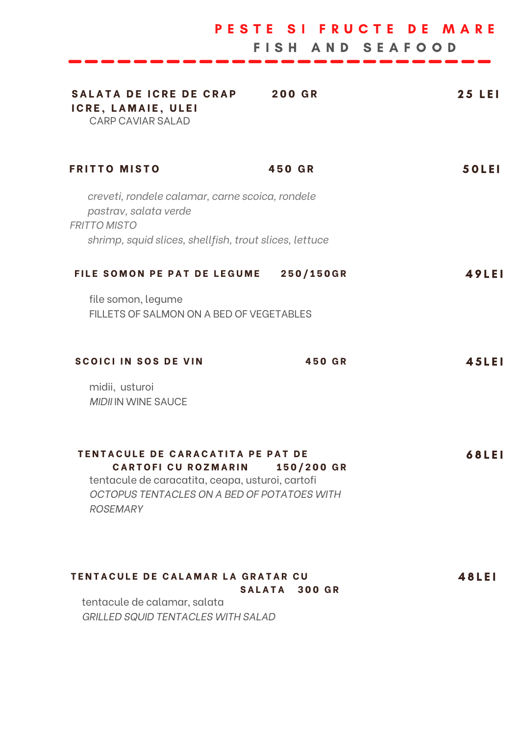| SALATA DE ICRE DE CRAP<br>ICRE, LAMAIE, ULEI<br><b>CARP CAVIAR SALAD</b>                        | <b>200 GR</b>                                                  | <b>25 LEI</b> |
|-------------------------------------------------------------------------------------------------|----------------------------------------------------------------|---------------|
| <b>FRITTO MISTO</b>                                                                             | 450 GR                                                         | <b>50LEI</b>  |
| creveti, rondele calamar, carne scoica, rondele<br>pastrav, salata verde<br><b>FRITTO MISTO</b> |                                                                |               |
| shrimp, squid slices, shellfish, trout slices, lettuce                                          |                                                                |               |
| FILE SOMON PE PAT DE LEGUME                                                                     | 250/150GR                                                      | <b>49LEI</b>  |
| file somon, legume<br>FILLETS OF SALMON ON A BED OF VEGETABLES                                  |                                                                |               |
| <b>SCOICI IN SOS DE VIN</b>                                                                     | 450 GR                                                         | 45LEI         |
| midii, usturoi<br><b>MIDII IN WINE SAUCE</b>                                                    |                                                                |               |
| TENTACULE DE CARACATITA PE PAT DE<br><b>CARTOFI CU ROZMARIN</b>                                 | 150/200 GR<br>tentacule de caracatita, ceapa, usturoi, cartofi | 68LEI         |

PESTE SI FRUCTE DE MARE

*GRILLED SQUID TENTACLES WITH SALAD*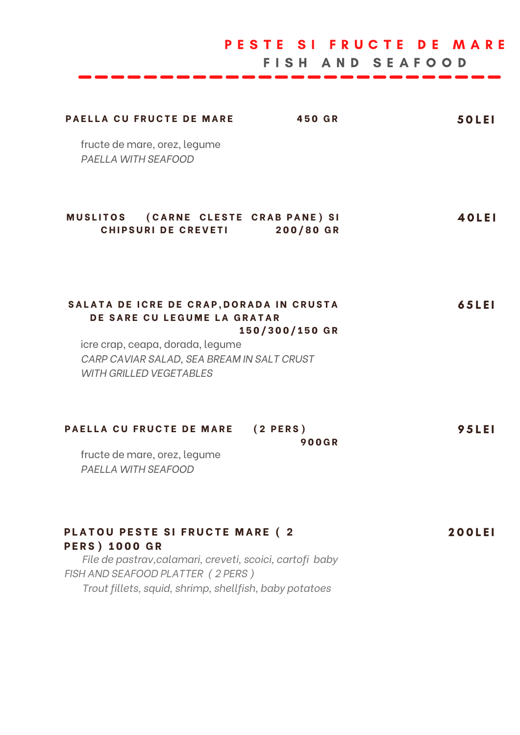|                                                             | PESTE SI FRUCTE DE MARE<br>FISH AND SEAFOOD |              |
|-------------------------------------------------------------|---------------------------------------------|--------------|
| <b>PAELLA CU FRUCTE DE MARE</b>                             | 450 GR                                      | <b>50LEI</b> |
| fructe de mare, orez, legume<br>PAELLA WITH SEAFOOD         |                                             |              |
| MUSLITOS (CARNE CLESTE CRAB PANE) SI<br>CHIPSURI DE CREVETI | 200/80 GR                                   | 40LEI        |

## SALATA DE ICRE DE CRAP, DORADA IN CRUSTA **DE SARE CU LEGUME LA GRATAR 1 5 0 / 3 0 0 / 1 5 0 G R** 6 5 L E I

icre crap, ceapa, dorada, legume *CARP CAVIAR SALAD, SEA BREAM IN SALT CRUST WITH GRILLED VEGETABLES*

| PAELLA CU FRUCTE DE MARE (2 PERS) |       | 95LEI |
|-----------------------------------|-------|-------|
|                                   | 900GR |       |

fructe de mare, orez, legume *PAELLA WITH SEAFOOD*

| PLATOU PESTE SI FRUCTE MARE (2)                          | <b>200LEI</b> |
|----------------------------------------------------------|---------------|
| <b>PERS</b> ) 1000 GR                                    |               |
| File de pastrav, calamari, creveti, scoici, cartofi baby |               |
| FISH AND SEAFOOD PLATTER (2 PERS)                        |               |
| Trout fillets, squid, shrimp, shellfish, baby potatoes   |               |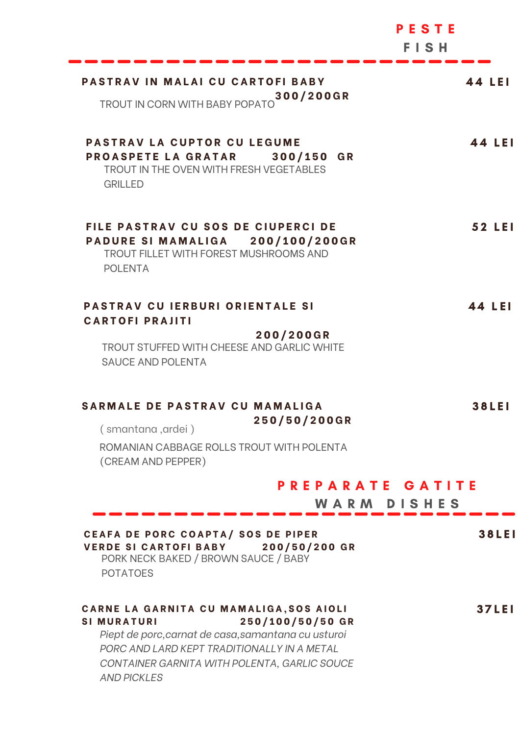|                                                                                                                                                                                                                                                              | PESTE<br>FISH |
|--------------------------------------------------------------------------------------------------------------------------------------------------------------------------------------------------------------------------------------------------------------|---------------|
| PASTRAV IN MALAI CU CARTOFI BABY                                                                                                                                                                                                                             | 44 LEI        |
| TROUT IN CORN WITH BABY POPATO 300/200GR                                                                                                                                                                                                                     |               |
| <b>PASTRAV LA CUPTOR CU LEGUME</b><br><b>PROASPETE LA GRATAR</b><br>300/150 GR<br>TROUT IN THE OVEN WITH FRESH VEGETABLES<br><b>GRILLED</b>                                                                                                                  | 44 LEI        |
| FILE PASTRAV CU SOS DE CIUPERCI DE<br>PADURE SI MAMALIGA 200/100/200GR<br>TROUT FILLET WITH FOREST MUSHROOMS AND<br><b>POLENTA</b>                                                                                                                           | 52 LEI        |
| <b>PASTRAV CU IERBURI ORIENTALE SI</b><br><b>CARTOFI PRAJITI</b>                                                                                                                                                                                             | 44 LEI        |
| 200/200GR<br>TROUT STUFFED WITH CHEESE AND GARLIC WHITE<br><b>SAUCE AND POLENTA</b>                                                                                                                                                                          |               |
| SARMALE DE PASTRAV CU MAMALIGA<br>250/50/200GR                                                                                                                                                                                                               | <b>38LEI</b>  |
| (smantana, ardei)<br>ROMANIAN CABBAGE ROLLS TROUT WITH POLENTA<br>(CREAM AND PEPPER)                                                                                                                                                                         |               |
| PREPARATE GATITE<br>WARM DISHES                                                                                                                                                                                                                              |               |
| CEAFA DE PORC COAPTA/ SOS DE PIPER                                                                                                                                                                                                                           | <b>38LEI</b>  |
| <b>VERDE SI CARTOFI BABY</b><br>200/50/200 GR<br>PORK NECK BAKED / BROWN SAUCE / BABY<br><b>POTATOES</b>                                                                                                                                                     |               |
| CARNE LA GARNITA CU MAMALIGA, SOS AIOLI<br>250/100/50/50 GR<br><b>SIMURATURI</b><br>Piept de porc, carnat de casa, samantana cu usturoi<br>PORC AND LARD KEPT TRADITIONALLY IN A METAL<br>CONTAINER GARNITA WITH POLENTA, GARLIC SOUCE<br><b>AND PICKLES</b> | <b>37LEI</b>  |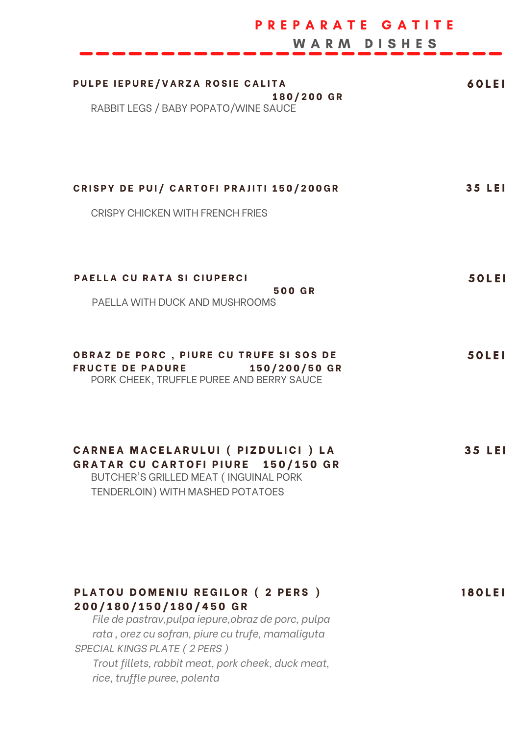| PREPARATE GATITE<br>WARM DISHES                                                                                                                        |               |
|--------------------------------------------------------------------------------------------------------------------------------------------------------|---------------|
| PULPE IEPURE/VARZA ROSIE CALITA<br>180/200 GR<br>RABBIT LEGS / BABY POPATO/WINE SAUCE                                                                  | <b>60LEI</b>  |
| CRISPY DE PUI/ CARTOFI PRAJITI 150/200GR<br><b>CRISPY CHICKEN WITH FRENCH FRIES</b>                                                                    | <b>35 LEI</b> |
| PAELLA CU RATA SI CIUPERCI<br><b>500 GR</b><br>PAELLA WITH DUCK AND MUSHROOMS                                                                          | <b>50LEI</b>  |
| OBRAZ DE PORC, PIURE CU TRUFE SI SOS DE<br><b>FRUCTE DE PADURE</b><br>150/200/50 GR<br>PORK CHEEK, TRUFFLE PUREE AND BERRY SAUCE                       | <b>50LEI</b>  |
| CARNEA MACELARULUI ( PIZDULICI ) LA<br>GRATAR CU CARTOFI PIURE 150/150 GR<br>BUTCHER'S GRILLED MEAT (INGUINAL PORK<br>TENDERLOIN) WITH MASHED POTATOES | 35 LEI        |

| PLATOU DOMENIU REGILOR (2 PERS)                     | <b>180LEI</b> |
|-----------------------------------------------------|---------------|
| 200/180/150/180/450 GR                              |               |
| File de pastrav, pulpa iepure, obraz de porc, pulpa |               |
| rata, orez cu sofran, piure cu trufe, mamaliguta    |               |
| <b>SPECIAL KINGS PLATE (2 PERS)</b>                 |               |
| $Travit$ fillota rabbit most park aboak duak most   |               |

*Trout fillets, rabbit meat, pork cheek, duck meat, rice, truffle puree, polenta*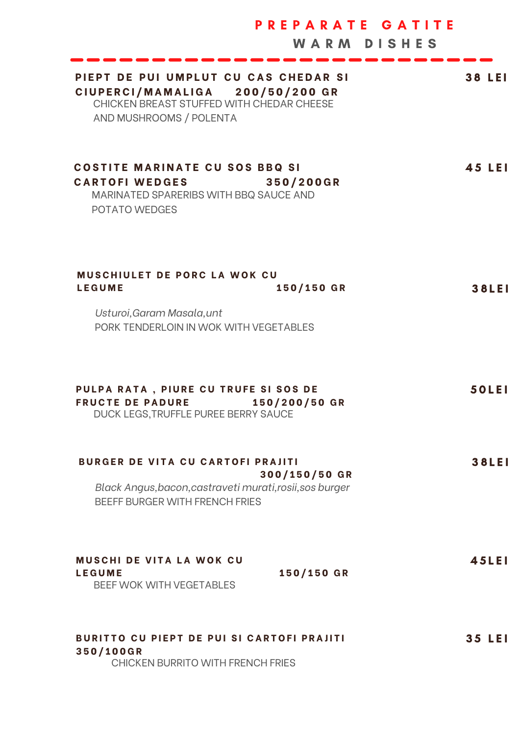|                                                                                                                                                 | PREPARATE GATITE<br><b>WARM DISHES</b> |               |
|-------------------------------------------------------------------------------------------------------------------------------------------------|----------------------------------------|---------------|
| PIEPT DE PUI UMPLUT CU CAS CHEDAR SI<br>CIUPERCI/MAMALIGA 200/50/200 GR<br>CHICKEN BREAST STUFFED WITH CHEDAR CHEESE<br>AND MUSHROOMS / POLENTA |                                        | <b>38 LEI</b> |
| <b>COSTITE MARINATE CU SOS BBQ SI</b><br><b>CARTOFI WEDGES</b><br>MARINATED SPARERIBS WITH BBQ SAUCE AND<br>POTATO WEDGES                       | 350/200GR                              | 45 LEI        |
| MUSCHIULET DE PORC LA WOK CU<br><b>LEGUME</b>                                                                                                   | 150/150 GR                             | <b>38LEI</b>  |
| Usturoi, Garam Masala, unt<br>PORK TENDERLOIN IN WOK WITH VEGETABLES                                                                            |                                        |               |
| PULPA RATA, PIURE CU TRUFE SI SOS DE<br><b>FRUCTE DE PADURE</b><br>DUCK LEGS, TRUFFLE PUREE BERRY SAUCE                                         | 150/200/50 GR                          | <b>50LEI</b>  |
| <b>BURGER DE VITA CU CARTOFI PRAJITI</b><br>Black Angus, bacon, castraveti murati, rosii, sos burger<br>BEEFF BURGER WITH FRENCH FRIES          | 300/150/50 GR                          | <b>38LEI</b>  |
| <b>MUSCHI DE VITA LA WOK CU</b><br><b>LEGUME</b><br><b>BEEF WOK WITH VEGETABLES</b>                                                             | 150/150 GR                             | <b>45LEI</b>  |
| <b>BURITTO CU PIEPT DE PUI SI CARTOFI PRAJITI</b><br>350/100GR<br>CHICKEN BURRITO WITH FRENCH FRIES                                             |                                        | <b>35 LEI</b> |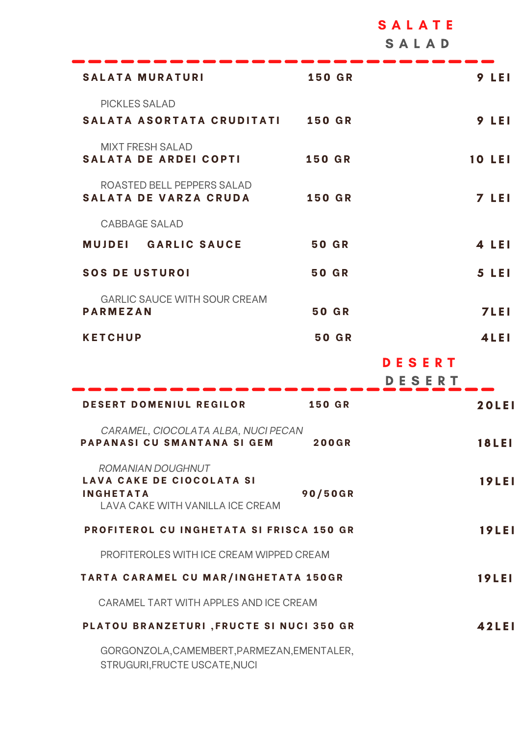|                                                                                                               |               | SALAD                   |
|---------------------------------------------------------------------------------------------------------------|---------------|-------------------------|
| <b>SALATA MURATURI</b>                                                                                        | <b>150 GR</b> | 9 LEI                   |
| <b>PICKLES SALAD</b><br>SALATA ASORTATA CRUDITATI                                                             | <b>150 GR</b> | <b>9 LEI</b>            |
| <b>MIXT FRESH SALAD</b><br><b>SALATA DE ARDEI COPTI</b>                                                       | <b>150 GR</b> | <b>10 LEI</b>           |
| ROASTED BELL PEPPERS SALAD<br><b>SALATA DE VARZA CRUDA</b>                                                    | <b>150 GR</b> | <b>7 LEI</b>            |
| <b>CABBAGE SALAD</b>                                                                                          |               |                         |
| <b>MUJDEL GARLIC SAUCE</b>                                                                                    | <b>50 GR</b>  | 4 LEI                   |
| <b>SOS DE USTUROI</b>                                                                                         | 50 GR         | <b>5 LEI</b>            |
| <b>GARLIC SAUCE WITH SOUR CREAM</b><br><b>PARMEZAN</b>                                                        | <b>50 GR</b>  | <b>7LEI</b>             |
| <b>KETCHUP</b>                                                                                                | <b>50 GR</b>  | <b>4LEI</b>             |
|                                                                                                               |               |                         |
|                                                                                                               |               | <b>DESERT</b><br>DESERT |
| <b>DESERT DOMENIUL REGILOR</b>                                                                                | <b>150 GR</b> | <b>20LEI</b>            |
| CARAMEL, CIOCOLATA ALBA, NUCI PECAN<br>PAPANASI CU SMANTANA SI GEM                                            | <b>200GR</b>  | <b>18LEI</b>            |
| <b>ROMANIAN DOUGHNUT</b><br>LAVA CAKE DE CIOCOLATA SI<br><b>INGHETATA</b><br>LAVA CAKE WITH VANILLA ICE CREAM | 90/50GR       | <b>19LEI</b>            |
| PROFITEROL CU INGHETATA SI FRISCA 150 GR                                                                      |               | <b>19LEI</b>            |
| PROFITEROLES WITH ICE CREAM WIPPED CREAM                                                                      |               |                         |
| <b>TARTA CARAMEL CU MAR/INGHETATA 150GR</b>                                                                   |               | <b>19LEI</b>            |
| CARAMEL TART WITH APPLES AND ICE CREAM                                                                        |               |                         |
| PLATOU BRANZETURI, FRUCTE SI NUCI 350 GR                                                                      |               | <b>42LEI</b>            |

S A L A T E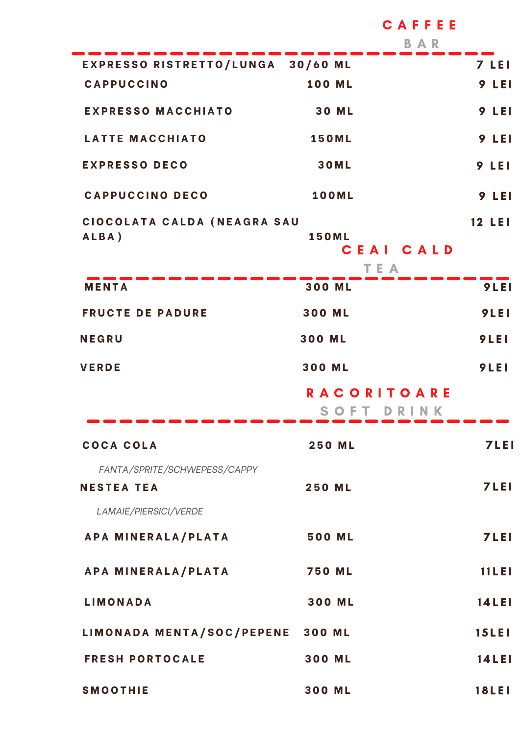|                                                                            | CAFFEE<br>BAR                    |               |  |
|----------------------------------------------------------------------------|----------------------------------|---------------|--|
| EXPRESSO RISTRETTO/LUNGA 30/60 ML                                          |                                  | 7 LEI         |  |
| <b>CAPPUCCINO</b>                                                          | <b>100 ML</b>                    | 9 LEI         |  |
| <b>EXPRESSO MACCHIATO</b>                                                  | <b>30 ML</b>                     | 9 LEI         |  |
| <b>LATTE MACCHIATO</b>                                                     | <b>150ML</b>                     | <b>9 LEI</b>  |  |
| <b>EXPRESSO DECO</b>                                                       | <b>30ML</b>                      | <b>9 LEI</b>  |  |
| <b>CAPPUCCINO DECO</b>                                                     | <b>100ML</b>                     | 9 LEI         |  |
| CIOCOLATA CALDA (NEAGRA SAU<br>ALBA)                                       | <b>150ML</b><br>CEAI CALD<br>TEA | <b>12 LEI</b> |  |
| <b>MENTA</b>                                                               | 300 ML                           | 9LEI          |  |
| <b>FRUCTE DE PADURE</b>                                                    | 300 ML                           | 9LEI          |  |
| <b>NEGRU</b>                                                               | 300 ML                           | 9LEI          |  |
| <b>VERDE</b>                                                               | 300 ML                           | 9LEI          |  |
|                                                                            | <b>RACORITOARE</b>               |               |  |
| COCA COLA                                                                  | <b>250 ML</b>                    | <b>7LEI</b>   |  |
| FANTA/SPRITE/SCHWEPESS/CAPPY<br><b>NESTEA TEA</b><br>LAMAIE/PIERSICI/VERDE | <b>250 ML</b>                    | <b>7LEI</b>   |  |
| APA MINERALA/PLATA                                                         | 500 ML                           | 7LEI          |  |
| APA MINERALA/PLATA                                                         | <b>750 ML</b>                    | 11LE1         |  |
| <b>LIMONADA</b>                                                            | 300 ML                           | <b>14LEI</b>  |  |
| LIMONADA MENTA/SOC/PEPENE 300 ML                                           |                                  | <b>15LEI</b>  |  |
| <b>FRESH PORTOCALE</b>                                                     | 300 ML                           | <b>14LEI</b>  |  |
| <b>SMOOTHIE</b>                                                            | 300 ML                           | <b>18LEI</b>  |  |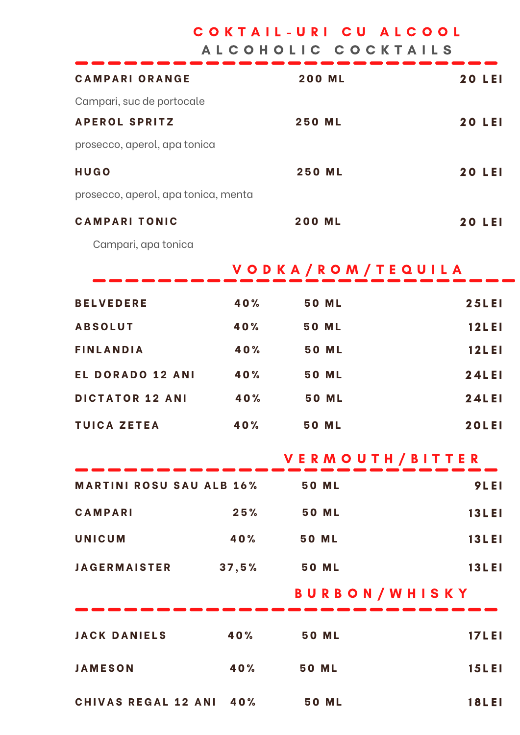COKTAIL-URI CU ALCOOL

A L C O H O L I C C O C K T A I L S

| <b>CAMPARI ORANGE</b>                 |     | <b>200 ML</b>        | <b>20 LEI</b> |  |  |
|---------------------------------------|-----|----------------------|---------------|--|--|
| Campari, suc de portocale             |     |                      |               |  |  |
| <b>APEROL SPRITZ</b>                  |     | <b>250 ML</b>        | <b>20 LEI</b> |  |  |
| prosecco, aperol, apa tonica          |     |                      |               |  |  |
| HUGO                                  |     | <b>250 ML</b>        | <b>20 LEI</b> |  |  |
| prosecco, aperol, apa tonica, menta   |     |                      |               |  |  |
| <b>CAMPARI TONIC</b>                  |     | <b>200 ML</b>        | <b>20 LEI</b> |  |  |
| Campari, apa tonica                   |     |                      |               |  |  |
| VODKA/ROM/TEQUILA                     |     |                      |               |  |  |
| <b>BELVEDERE</b>                      | 40% | <b>50 ML</b>         | <b>25LEI</b>  |  |  |
| <b>ABSOLUT</b>                        | 40% | <b>50 ML</b>         | <b>12LEI</b>  |  |  |
| <b>FINLANDIA</b>                      | 40% | <b>50 ML</b>         | <b>12LEI</b>  |  |  |
| <b>EL DORADO 12 ANI</b>               | 40% | <b>50 ML</b>         | 24LEI         |  |  |
| <b>DICTATOR 12 ANI</b>                | 40% | <b>50 ML</b>         | <b>24LEI</b>  |  |  |
| <b>TUICA ZETEA</b>                    | 40% | <b>50 ML</b>         | <b>20LEI</b>  |  |  |
|                                       |     | VERMOUTH/BITTER      |               |  |  |
| <b>MARTINI ROSU SAU ALB 16% 50 ML</b> |     |                      | 9LEI          |  |  |
| <b>CAMPARI</b>                        |     | 25% 50 ML            | <b>13LEI</b>  |  |  |
| <b>UNICUM</b>                         |     | 40% 50 ML            | <b>13LEI</b>  |  |  |
| JAGERMAISTER 37,5% 50 ML              |     |                      | <b>13LEI</b>  |  |  |
|                                       |     | <b>BURBON/WHISKY</b> |               |  |  |
| JACK DANIELS 40% 50 ML                |     |                      | <b>17LEI</b>  |  |  |
| <b>JAMESON</b>                        | 40% | <b>50 ML</b>         | <b>15LEI</b>  |  |  |
|                                       |     |                      |               |  |  |

**C H I V A S R E G A L 1 2 A N I 4 0 % 5 0 M L** 1 8 L E I